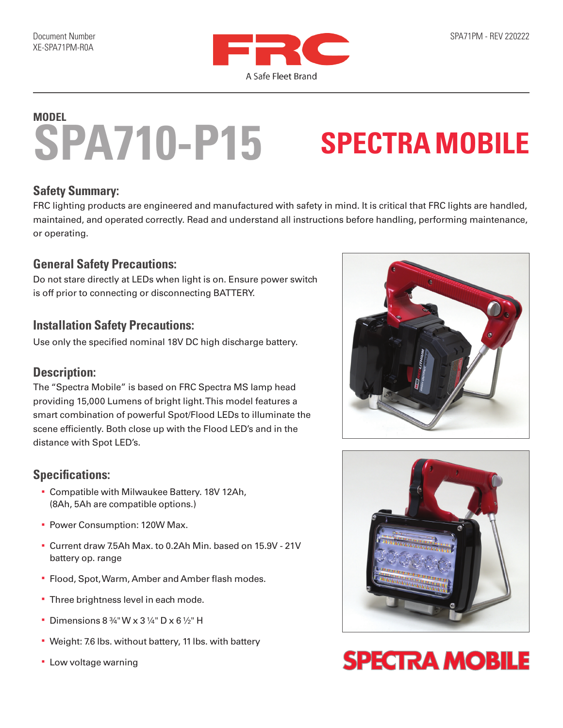

## **SPA710-P15 MODEL**

# **SPECTRA MOBILE**

#### **Safety Summary:**

FRC lighting products are engineered and manufactured with safety in mind. It is critical that FRC lights are handled, maintained, and operated correctly. Read and understand all instructions before handling, performing maintenance, or operating.

#### **General Safety Precautions:**

Do not stare directly at LEDs when light is on. Ensure power switch is off prior to connecting or disconnecting BATTERY.

#### **Installation Safety Precautions:**

Use only the specified nominal 18V DC high discharge battery.

#### **Description:**

The "Spectra Mobile" is based on FRC Spectra MS lamp head providing 15,000 Lumens of bright light. This model features a smart combination of powerful Spot/Flood LEDs to illuminate the scene efficiently. Both close up with the Flood LED's and in the distance with Spot LED's.

### **Specifications:**

- § Compatible with Milwaukee Battery. 18V 12Ah, (8Ah, 5Ah are compatible options.)
- Power Consumption: 120W Max.
- § Current draw 7.5Ah Max. to 0.2Ah Min. based on 15.9V 21V battery op. range
- § Flood, Spot, Warm, Amber and Amber flash modes.
- **Three brightness level in each mode.**
- Dimensions 8  $\frac{3}{4}$ " W x 3  $\frac{1}{4}$ " D x 6  $\frac{1}{2}$ " H
- § Weight: 7.6 lbs. without battery, 11 lbs. with battery
- § Low voltage warning